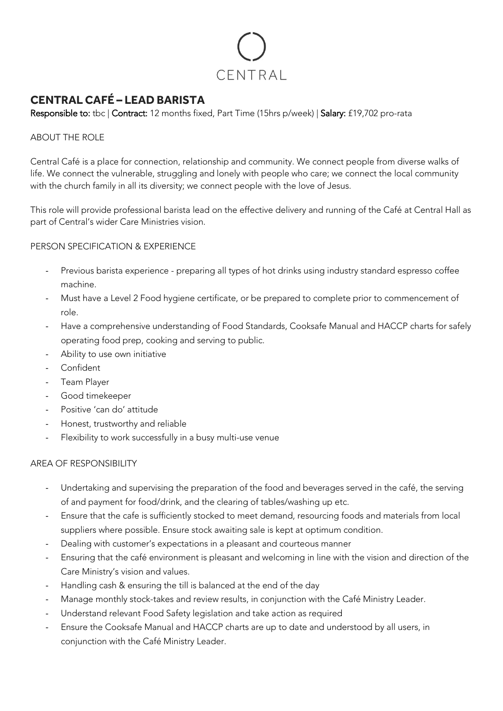

# **CENTRAL CAFÉ – LEAD BARISTA**

Responsible to: tbc | Contract: 12 months fixed, Part Time (15hrs p/week) | Salary: £19,702 pro-rata

## ABOUT THE ROLE

Central Café is a place for connection, relationship and community. We connect people from diverse walks of life. We connect the vulnerable, struggling and lonely with people who care; we connect the local community with the church family in all its diversity; we connect people with the love of Jesus.

This role will provide professional barista lead on the effective delivery and running of the Café at Central Hall as part of Central's wider Care Ministries vision.

## PERSON SPECIFICATION & EXPERIENCE

- Previous barista experience preparing all types of hot drinks using industry standard espresso coffee machine.
- Must have a Level 2 Food hygiene certificate, or be prepared to complete prior to commencement of role.
- Have a comprehensive understanding of Food Standards, Cooksafe Manual and HACCP charts for safely operating food prep, cooking and serving to public.
- Ability to use own initiative
- Confident
- Team Player
- Good timekeeper
- Positive 'can do' attitude
- Honest, trustworthy and reliable
- Flexibility to work successfully in a busy multi-use venue

### AREA OF RESPONSIBILITY

- Undertaking and supervising the preparation of the food and beverages served in the café, the serving of and payment for food/drink, and the clearing of tables/washing up etc.
- Ensure that the cafe is sufficiently stocked to meet demand, resourcing foods and materials from local suppliers where possible. Ensure stock awaiting sale is kept at optimum condition.
- Dealing with customer's expectations in a pleasant and courteous manner
- Ensuring that the café environment is pleasant and welcoming in line with the vision and direction of the Care Ministry's vision and values.
- Handling cash & ensuring the till is balanced at the end of the day
- Manage monthly stock-takes and review results, in conjunction with the Café Ministry Leader.
- Understand relevant Food Safety legislation and take action as required
- Ensure the Cooksafe Manual and HACCP charts are up to date and understood by all users, in conjunction with the Café Ministry Leader.